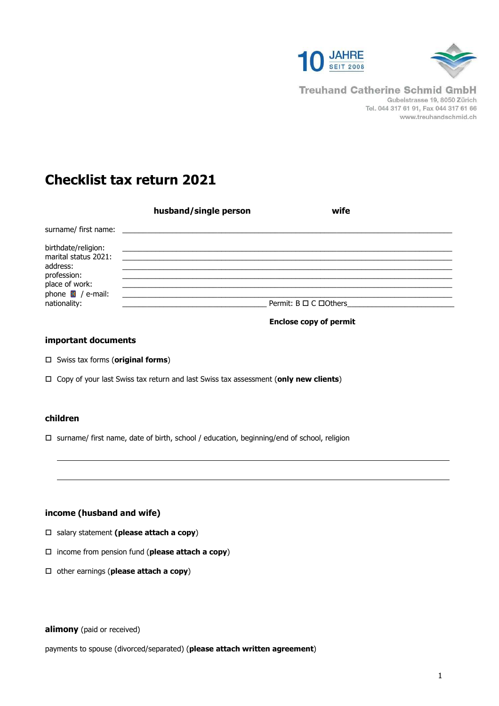



**Treuhand Catherine Schmid GmbH** Gubelstrasse 19, 8050 Zürich Tel. 044 317 61 91, Fax 044 317 61 66 www.treuhandschmid.ch

# **Checklist tax return 2021**

|                                                                                                                                            | husband/single person | wife                           |
|--------------------------------------------------------------------------------------------------------------------------------------------|-----------------------|--------------------------------|
| surname/first name:                                                                                                                        |                       |                                |
| birthdate/religion:<br>marital status 2021:<br>address:<br>profession:<br>place of work:<br>phone $\blacksquare$ / e-mail:<br>nationality: |                       | Permit: $B \Box C \Box$ Others |

 **Enclose copy of permit** 

# **important documents**

- Swiss tax forms (**original forms**)
- Copy of your last Swiss tax return and last Swiss tax assessment (**only new clients**)

# **children**

 $\square$  surname/ first name, date of birth, school / education, beginning/end of school, religion

# **income (husband and wife)**

- salary statement **(please attach a copy**)
- income from pension fund (**please attach a copy**)
- other earnings (**please attach a copy**)

# **alimony** (paid or received)

payments to spouse (divorced/separated) (**please attach written agreement**)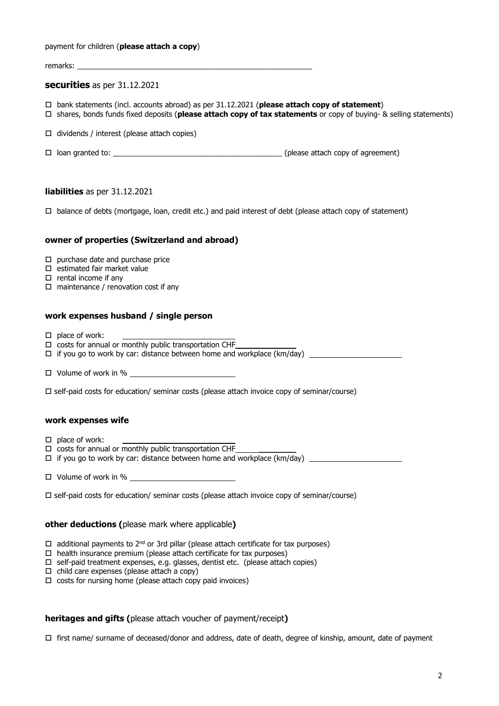#### payment for children (**please attach a copy**)

remarks:

### **securities** as per 31.12.2021

- bank statements (incl. accounts abroad) as per 31.12.2021 (**please attach copy of statement**)
- shares, bonds funds fixed deposits (**please attach copy of tax statements** or copy of buying- & selling statements)
- $\Box$  dividends / interest (please attach copies)
- $\Box$  loan granted to:  $\Box$  loan granted to:  $\Box$  is a set of agreement)

### **liabilities** as per 31.12.2021

 $\Box$  balance of debts (mortgage, loan, credit etc.) and paid interest of debt (please attach copy of statement)

## **owner of properties (Switzerland and abroad)**

- $\square$  purchase date and purchase price
- $\square$  estimated fair market value
- $\square$  rental income if any
- $\square$  maintenance / renovation cost if any

# **work expenses husband / single person**

- $\Box$  place of work:
- $\Box$  costs for annual or monthly public transportation CHF
- if you go to work by car: distance between home and workplace (km/day)

 $\Box$  Volume of work in %  $\Box$ 

 $\square$  self-paid costs for education/ seminar costs (please attach invoice copy of seminar/course)

### **work expenses wife**

- $\square$  place of work:
- $\Box$  costs for annual or monthly public transportation CHF
- if you go to work by car: distance between home and workplace (km/day)
- $\Box$  Volume of work in %
- $\square$  self-paid costs for education/ seminar costs (please attach invoice copy of seminar/course)

### **other deductions (**please mark where applicable**)**

- $\Box$  additional payments to 2<sup>nd</sup> or 3rd pillar (please attach certificate for tax purposes)
- $\Box$  health insurance premium (please attach certificate for tax purposes)
- $\square$  self-paid treatment expenses, e.g. glasses, dentist etc. (please attach copies)
- $\Box$  child care expenses (please attach a copy)
- $\square$  costs for nursing home (please attach copy paid invoices)

# **heritages and gifts (**please attach voucher of payment/receipt**)**

first name/ surname of deceased/donor and address, date of death, degree of kinship, amount, date of payment